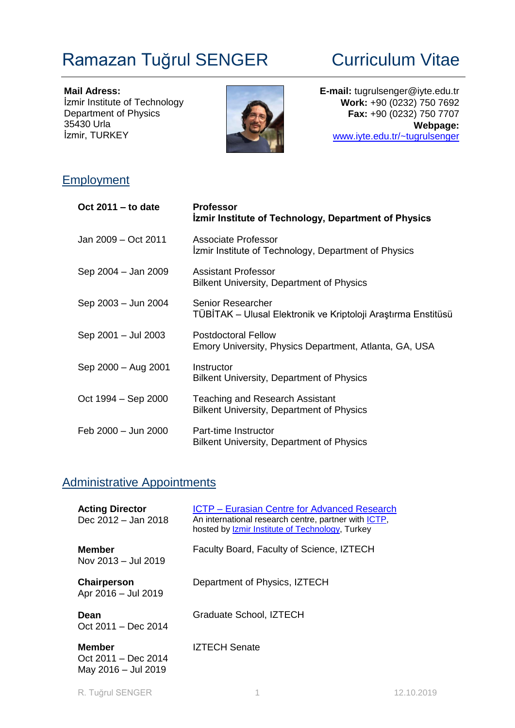# Ramazan Tuğrul SENGER Curriculum Vitae

**Mail Adress:** İzmir Institute of Technology Department of Physics 35430 Urla İzmir, TURKEY



**E-mail:** tugrulsenger@iyte.edu.tr **Work:** +90 (0232) 750 7692 **Fax:** +90 (0232) 750 7707 **Webpage:** [www.iyte.edu.tr/~tugrulsenger](http://www.iyte.edu.tr/~tugrulsenger)

## **Employment**

| Oct 2011 - to date  | <b>Professor</b><br><b>Izmir Institute of Technology, Department of Physics</b>            |
|---------------------|--------------------------------------------------------------------------------------------|
| Jan 2009 - Oct 2011 | Associate Professor<br>Izmir Institute of Technology, Department of Physics                |
| Sep 2004 - Jan 2009 | <b>Assistant Professor</b><br><b>Bilkent University, Department of Physics</b>             |
| Sep 2003 - Jun 2004 | Senior Researcher<br>TÜBİTAK – Ulusal Elektronik ve Kriptoloji Araştırma Enstitüsü         |
| Sep 2001 - Jul 2003 | <b>Postdoctoral Fellow</b><br>Emory University, Physics Department, Atlanta, GA, USA       |
| Sep 2000 - Aug 2001 | Instructor<br><b>Bilkent University, Department of Physics</b>                             |
| Oct 1994 – Sep 2000 | <b>Teaching and Research Assistant</b><br><b>Bilkent University, Department of Physics</b> |
| Feb 2000 - Jun 2000 | Part-time Instructor<br><b>Bilkent University, Department of Physics</b>                   |

## Administrative Appointments

| <b>Acting Director</b><br>Dec 2012 - Jan 2018                 | <b>ICTP</b> – Eurasian Centre for Advanced Research<br>An international research centre, partner with ICTP,<br>hosted by <b>Izmir Institute of Technology</b> , Turkey |
|---------------------------------------------------------------|------------------------------------------------------------------------------------------------------------------------------------------------------------------------|
| <b>Member</b><br>Nov $2013 -$ Jul $2019$                      | Faculty Board, Faculty of Science, IZTECH                                                                                                                              |
| Chairperson<br>Apr 2016 - Jul 2019                            | Department of Physics, IZTECH                                                                                                                                          |
| Dean<br>Oct 2011 - Dec 2014                                   | Graduate School, IZTECH                                                                                                                                                |
| <b>Member</b><br>Oct $2011 - Dec 2014$<br>May 2016 - Jul 2019 | IZTECH Senate                                                                                                                                                          |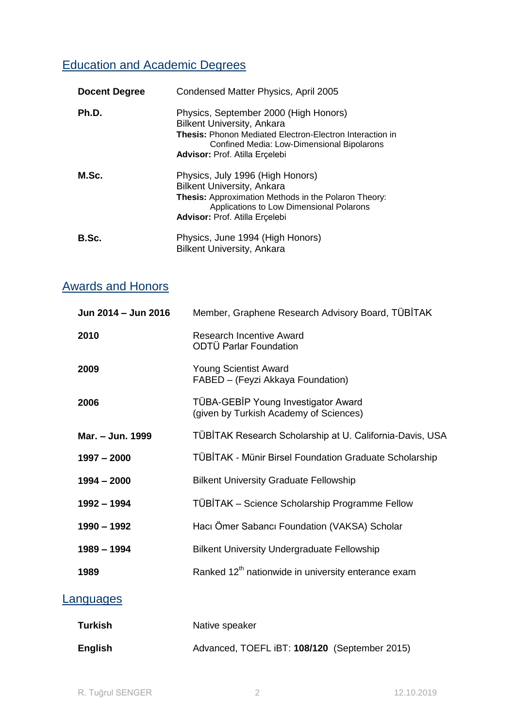## Education and Academic Degrees

| <b>Docent Degree</b> | Condensed Matter Physics, April 2005                                                                                                                                                                                                 |
|----------------------|--------------------------------------------------------------------------------------------------------------------------------------------------------------------------------------------------------------------------------------|
| Ph.D.                | Physics, September 2000 (High Honors)<br><b>Bilkent University, Ankara</b><br><b>Thesis: Phonon Mediated Electron-Electron Interaction in</b><br>Confined Media: Low-Dimensional Bipolarons<br><b>Advisor:</b> Prof. Atilla Erçelebi |
| M.Sc.                | Physics, July 1996 (High Honors)<br><b>Bilkent University, Ankara</b><br>Thesis: Approximation Methods in the Polaron Theory:<br>Applications to Low Dimensional Polarons<br>Advisor: Prof. Atilla Erçelebi                          |
| B.Sc.                | Physics, June 1994 (High Honors)<br><b>Bilkent University, Ankara</b>                                                                                                                                                                |

## Awards and Honors

| Jun 2014 - Jun 2016 | Member, Graphene Research Advisory Board, TÜBİTAK                             |
|---------------------|-------------------------------------------------------------------------------|
| 2010                | <b>Research Incentive Award</b><br><b>ODTÜ Parlar Foundation</b>              |
| 2009                | <b>Young Scientist Award</b><br>FABED - (Feyzi Akkaya Foundation)             |
| 2006                | TÜBA-GEBİP Young Investigator Award<br>(given by Turkish Academy of Sciences) |
| Mar. - Jun. 1999    | TÜBİTAK Research Scholarship at U. California-Davis, USA                      |
| $1997 - 2000$       | <b>TÜBİTAK - Münir Birsel Foundation Graduate Scholarship</b>                 |
| $1994 - 2000$       | <b>Bilkent University Graduate Fellowship</b>                                 |
| 1992 - 1994         | TÜBİTAK - Science Scholarship Programme Fellow                                |
| 1990 - 1992         | Hacı Ömer Sabancı Foundation (VAKSA) Scholar                                  |
| 1989 - 1994         | <b>Bilkent University Undergraduate Fellowship</b>                            |
| 1989                | Ranked 12 <sup>th</sup> nationwide in university enterance exam               |
|                     |                                                                               |

## **Languages**

| Turkish        | Native speaker                                |  |
|----------------|-----------------------------------------------|--|
| <b>English</b> | Advanced, TOEFL iBT: 108/120 (September 2015) |  |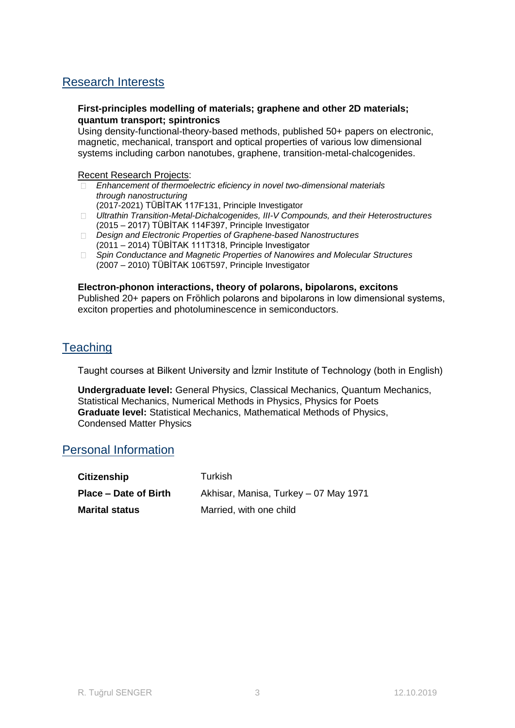## Research Interests

### **First-principles modelling of materials; graphene and other 2D materials; quantum transport; spintronics**

Using density-functional-theory-based methods, published 50+ papers on electronic, magnetic, mechanical, transport and optical properties of various low dimensional systems including carbon nanotubes, graphene, transition-metal-chalcogenides.

### Recent Research Projects:

- *Enhancement of thermoelectric eficiency in novel two-dimensional materials through nanostructuring*
- (2017-2021) TÜBİTAK 117F131, Principle Investigator
- *Ultrathin Transition-Metal-Dichalcogenides, III-V Compounds, and their Heterostructures* (2015 – 2017) TÜBİTAK 114F397, Principle Investigator
- *Design and Electronic Properties of Graphene-based Nanostructures* (2011 – 2014) TÜBİTAK 111T318, Principle Investigator
- *Spin Conductance and Magnetic Properties of Nanowires and Molecular Structures* (2007 – 2010) TÜBİTAK 106T597, Principle Investigator

### **Electron-phonon interactions, theory of polarons, bipolarons, excitons**

Published 20+ papers on Fröhlich polarons and bipolarons in low dimensional systems, exciton properties and photoluminescence in semiconductors.

## **Teaching**

Taught courses at Bilkent University and İzmir Institute of Technology (both in English)

**Undergraduate level:** General Physics, Classical Mechanics, Quantum Mechanics, Statistical Mechanics, Numerical Methods in Physics, Physics for Poets **Graduate level:** Statistical Mechanics, Mathematical Methods of Physics, Condensed Matter Physics

## Personal Information

| <b>Citizenship</b>    | Turkish                               |
|-----------------------|---------------------------------------|
| Place – Date of Birth | Akhisar, Manisa, Turkey – 07 May 1971 |
| <b>Marital status</b> | Married, with one child               |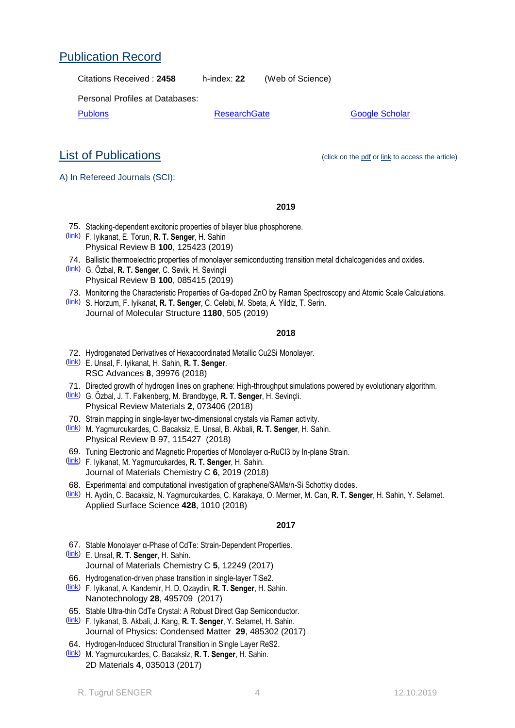### Applied Surface Science **428**, 1010 (2018)

- 67. Stable Monolayer α-Phase of CdTe: Strain-Dependent Properties.
- [\(link\)](http://dx.doi.org/10.1039/C7TC04151A) E. Unsal, **R. T. Senger**, H. Sahin. Journal of Materials Chemistry C **5**, 12249 (2017)
- 66. Hydrogenation-driven phase transition in single-layer TiSe2.
- [\(link\)](https://doi.org/10.1088/1361-6528/aa94ab) F. Iyikanat, A. Kandemir, H. D. Ozaydin, **R. T. Senger**, H. Sahin. Nanotechnology **28**, 495709 (2017)
- 65. Stable Ultra-thin CdTe Crystal: A Robust Direct Gap Semiconductor.
- [\(link\)](https://doi.org/10.1088/1361-648X/aa957e) F. Iyikanat, B. Akbali, J. Kang, **R. T. Senger**, Y. Selamet, H. Sahin. Journal of Physics: Condensed Matter **29**, 485302 (2017)
- 64. Hydrogen-Induced Structural Transition in Single Layer ReS2.
- [\(link\)](https://doi.org/10.1088/2053-1583/aa78c8) M. Yagmurcukardes, C. Bacaksiz, **R. T. Senger**, H. Sahin. 2D Materials **4**, 035013 (2017)
	- R. Tuğrul SENGER 4 12.10.2019

- **2017**
- [\(link\)](https://doi.org/10.1039/C7TC05266A) F. Iyikanat, M. Yagmurcukardes, **R. T. Senger**, H. Sahin.
- Physical Review B 97, 115427 (2018) 69. Tuning Electronic and Magnetic Properties of Monolayer α-RuCl3 by In-plane Strain.

Journal of Materials Chemistry C **6**, 2019 (2018)

- 
- [\(link\)](https://doi.org/10.1103/PhysRevB.97.115427) M. Yagmurcukardes, C. Bacaksiz, E. Unsal, B. Akbali, **R. T. Senger**, H. Sahin.

68. Experimental and computational investigation of graphene/SAMs/n-Si Schottky diodes.

- 
- 70. Strain mapping in single-layer two-dimensional crystals via Raman activity.
- Physical Review Materials **2**, 073406 (2018)
- 
- [\(link\)](https://doi.org/10.1103/PhysRevMaterials.2.073406) G. Özbal, J. T. Falkenberg, M. Brandbyge, **R. T. Senger**, H. Sevinçli.
- 71. Directed growth of hydrogen lines on graphene: High-throughput simulations powered by evolutionary algorithm.
- 
- 
- RSC Advances **8**, 39976 (2018)
- 72. Hydrogenated Derivatives of Hexacoordinated Metallic Cu2Si Monolayer. [\(link\)](http://dx.doi.org/10.1039/C8RA07824F) E. Unsal, F. Iyikanat, H. Sahin, **R. T. Senger**.
- 73. Monitoring the Characteristic Properties of Ga-doped ZnO by Raman Spectroscopy and Atomic Scale Calculations.
- Physical Review B **100**, 085415 (2019)
- 
- 
- 
- [\(link\)](https://doi.org/10.1103/PhysRevB.100.085415) G. Özbal, **R. T. Senger**, C. Sevik, H. Sevinçli
- 
- 
- 
- 

74. Ballistic thermoelectric properties of monolayer semiconducting transition metal dichalcogenides and oxides.

- 
- 
- 
- 
- 

[\(link\)](https://doi.org/10.1016/j.apsusc.2017.09.204) H. Aydin, C. Bacaksiz, N. Yagmurcukardes, C. Karakaya, O. Mermer, M. Can, **R. T. Senger**, H. Sahin, Y. Selamet.

- [\(link\)](https://doi.org/10.1016/j.molstruc.2018.11.064) S. Horzum, F. Iyikanat, **R. T. Senger**, C. Celebi, M. Sbeta, A. Yildiz, T. Serin.
	-

75. Stacking-dependent excitonic properties of bilayer blue phosphorene.

Journal of Molecular Structure **1180**, 505 (2019)

### **2018**

**2019**

List of Publications (click on the pdf or link to access the article)

# Publication Record

A) In Refereed Journals (SCI):

Personal Profiles at Databases:

[\(link\)](https://journals.aps.org/prb/abstract/10.1103/PhysRevB.100.125423) F. Iyikanat, E. Torun, **R. T. Senger**, H. Sahin Physical Review B **100**, 125423 (2019)

Citations Received : **2458** h-index: **22** (Web of Science)

[Publons](https://publons.com/researcher/1353970/r-tugrul-senger/) **[ResearchGate](https://www.researchgate.net/profile/Tugrul_Senger/publications)** [Google Scholar](https://scholar.google.com.tr/citations?user=DBXH39EAAAAJ)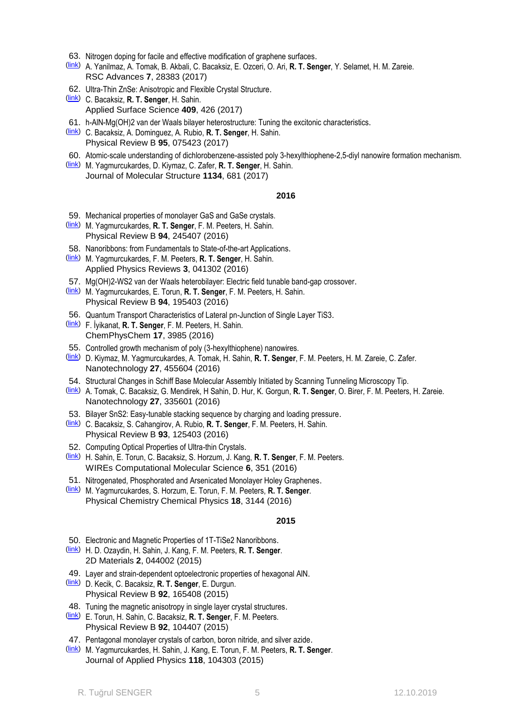- 63. Nitrogen doping for facile and effective modification of graphene surfaces.
- [\(link\)](https://dx.doi.org/10.1039/C7RA03046K) A. Yanilmaz, A. Tomak, B. Akbali, C. Bacaksiz, E. Ozceri, O. Ari, **R. T. Senger**, Y. Selamet, H. M. Zareie. RSC Advances **7**, 28383 (2017)
- 62. Ultra-Thin ZnSe: Anisotropic and Flexible Crystal Structure.
- [\(link\)](http://www.sciencedirect.com/science/article/pii/S0169433217306906) C. Bacaksiz, **R. T. Senger**, H. Sahin. Applied Surface Science **409**, 426 (2017)
- 61. h-AlN-Mg(OH)2 van der Waals bilayer heterostructure: Tuning the excitonic characteristics.
- [\(link\)](https://journals.aps.org/prb/abstract/10.1103/PhysRevB.95.075423) C. Bacaksiz, A. Dominguez, A. Rubio, **R. T. Senger**, H. Sahin. Physical Review B **95**, 075423 (2017)
- 60. Atomic-scale understanding of dichlorobenzene-assisted poly 3-hexylthiophene-2,5-diyl nanowire formation mechanism.
- [\(link\)](http://dx.doi.org/10.1016/j.molstruc.2017.01.027) M. Yagmurcukardes, D. Kiymaz, C. Zafer, **R. T. Senger**, H. Sahin. Journal of Molecular Structure **1134**, 681 (2017)

- 59. Mechanical properties of monolayer GaS and GaSe crystals.
- [\(link\)](https://journals.aps.org/prb/abstract/10.1103/PhysRevB.94.245407) M. Yagmurcukardes, **R. T. Senger**, F. M. Peeters, H. Sahin. Physical Review B **94**, 245407 (2016)
- 58. Nanoribbons: from Fundamentals to State-of-the-art Applications.
- [\(link\)](http://scitation.aip.org/content/aip/journal/apr2/3/4/10.1063/1.4966963) M. Yagmurcukardes, F. M. Peeters, **R. T. Senger**, H. Sahin. Applied Physics Reviews **3**, 041302 (2016)
- 57. Mg(OH)2-WS2 van der Waals heterobilayer: Electric field tunable band-gap crossover.
- [\(link\)](http://journals.aps.org/prb/abstract/10.1103/PhysRevB.94.195403) M. Yagmurcukardes, E. Torun, **R. T. Senger**, F. M. Peeters, H. Sahin. Physical Review B **94**, 195403 (2016)
- 56. Quantum Transport Characteristics of Lateral pn-Junction of Single Layer TiS3.
- [\(link\)](http://onlinelibrary.wiley.com/doi/10.1002/cphc.201600751/abstract) F. İyikanat, **R. T. Senger**, F. M. Peeters, H. Sahin. ChemPhysChem **17**, 3985 (2016)
- 55. Controlled growth mechanism of poly (3-hexylthiophene) nanowires.
- [\(link\)](http://iopscience.iop.org/article/10.1088/0957-4484/27/45/455604/meta) D. Kiymaz, M. Yagmurcukardes, A. Tomak, H. Sahin, **R. T. Senger**, F. M. Peeters, H. M. Zareie, C. Zafer. Nanotechnology **27**, 455604 (2016)
- 54. Structural Changes in Schiff Base Molecular Assembly Initiated by Scanning Tunneling Microscopy Tip.
- [\(link\)](http://iopscience.iop.org/article/10.1088/0957-4484/27/33/335601/meta) A. Tomak, C. Bacaksiz, G. Mendirek, H Sahin, D. Hur, K. Gorgun, **R. T. Senger**, O. Birer, F. M. Peeters, H. Zareie. Nanotechnology **27**, 335601 (2016)
- 53. Bilayer SnS2: Easy-tunable stacking sequence by charging and loading pressure.
- [\(link\)](https://journals.aps.org/prb/abstract/10.1103/PhysRevB.93.125403) C. Bacaksiz, S. Cahangirov, A. Rubio, **R. T. Senger**, F. M. Peeters, H. Sahin. Physical Review B **93**, 125403 (2016)
- 52. Computing Optical Properties of Ultra-thin Crystals.
- [\(link\)](http://wires.wiley.com/WileyCDA/WiresArticle/wisId-WCMS1252.html) H. Sahin, E. Torun, C. Bacaksiz, S. Horzum, J. Kang, **R. T. Senger**, F. M. Peeters. WIREs Computational Molecular Science **6**, 351 (2016)
- 51. Nitrogenated, Phosphorated and Arsenicated Monolayer Holey Graphenes.
- [\(link\)](http://pubs.rsc.org/en/Content/ArticleLanding/2016/CP/C5CP05538E#!divAbstract) M. Yagmurcukardes, S. Horzum, E. Torun, F. M. Peeters, **R. T. Senger**. Physical Chemistry Chemical Physics **18**, 3144 (2016)

### **2015**

- 50. Electronic and Magnetic Properties of 1T-TiSe2 Nanoribbons.
- [\(link\)](http://iopscience.iop.org/article/10.1088/2053-1583/2/4/044002/meta) H. D. Ozaydin, H. Sahin, J. Kang, F. M. Peeters, **R. T. Senger**. 2D Materials **2**, 044002 (2015)
- 49. Layer and strain-dependent optoelectronic properties of hexagonal AlN.
- [\(link\)](https://journals.aps.org/prb/abstract/10.1103/PhysRevB.92.165408) D. Kecik, C. Bacaksiz, **R. T. Senger**, E. Durgun. Physical Review B **92**, 165408 (2015)
- 48. Tuning the magnetic anisotropy in single layer crystal structures.
- [\(link\)](http://journals.aps.org/prb/abstract/10.1103/PhysRevB.92.104407) E. Torun, H. Sahin, C. Bacaksiz, **R. T. Senger**, F. M. Peeters. Physical Review B **92**, 104407 (2015)
- 47. Pentagonal monolayer crystals of carbon, boron nitride, and silver azide.
- [\(link\)](http://scitation.aip.org/content/aip/journal/jap/118/10/10.1063/1.4930086) M. Yagmurcukardes, H. Sahin, J. Kang, E. Torun, F. M. Peeters, **R. T. Senger**. Journal of Applied Physics **118**, 104303 (2015)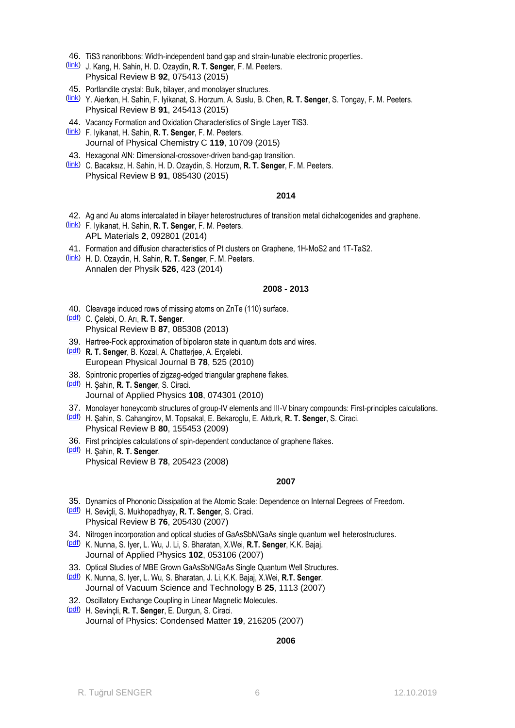- 46. TiS3 nanoribbons: Width-independent band gap and strain-tunable electronic properties.
- [\(link\)](http://journals.aps.org/prb/abstract/10.1103/PhysRevB.92.075413) J. Kang, H. Sahin, H. D. Ozaydin, **R. T. Senger**, F. M. Peeters. Physical Review B **92**, 075413 (2015)
- 45. Portlandite crystal: Bulk, bilayer, and monolayer structures.
- [\(link\)](http://journals.aps.org/prb/abstract/10.1103/PhysRevB.91.245413) Y. Aierken, H. Sahin, F. Iyikanat, S. Horzum, A. Suslu, B. Chen, **R. T. Senger**, S. Tongay, F. M. Peeters. Physical Review B **91**, 245413 (2015)
- 44. Vacancy Formation and Oxidation Characteristics of Single Layer TiS3.
- [\(link\)](http://pubs.acs.org/doi/ipdf/10.1021/acs.jpcc.5b01562) F. Iyikanat, H. Sahin, **R. T. Senger**, F. M. Peeters. Journal of Physical Chemistry C **119**, 10709 (2015)
- 43. Hexagonal AlN: Dimensional-crossover-driven band-gap transition.
- [\(link\)](http://journals.aps.org/prb/pdf/10.1103/PhysRevB.91.085430) C. Bacaksız, H. Sahin, H. D. Ozaydin, S. Horzum, **R. T. Senger**, F. M. Peeters. Physical Review B **91**, 085430 (2015)

- 42. Ag and Au atoms intercalated in bilayer heterostructures of transition metal dichalcogenides and graphene.
- [\(link\)](http://dx.doi.org/10.1063/1.4893543) F. Iyikanat, H. Sahin, **R. T. Senger**, F. M. Peeters. APL Materials **2**, 092801 (2014)
- 41. Formation and diffusion characteristics of Pt clusters on Graphene, 1H-MoS2 and 1T-TaS2.
- [\(link\)](http://onlinelibrary.wiley.com/doi/10.1002/andp.201400079/abstract) H. D. Ozaydin, H. Sahin, **R. T. Senger**, F. M. Peeters. Annalen der Physik **526**, 423 (2014)

### **2008 - 2013**

- 40. Cleavage induced rows of missing atoms on ZnTe (110) surface.
- [\(pdf\)](http://web.iyte.edu.tr/~tugrulsenger/p40.pdf) C. Çelebi, O. Arı, **R. T. Senger**. Physical Review B **87**, 085308 (2013)
- 39. Hartree-Fock approximation of bipolaron state in quantum dots and wires.
- [\(pdf\)](http://web.iyte.edu.tr/~tugrulsenger/p39.pdf) **R. T. Senger**, B. Kozal, A. Chatterjee, A. Erçelebi. European Physical Journal B **78**, 525 (2010)
- 38. Spintronic properties of zigzag-edged triangular graphene flakes.
- [\(pdf\)](http://web.iyte.edu.tr/~tugrulsenger/p38.pdf) H. Şahin, **R. T. Senger**, S. Ciraci. Journal of Applied Physics **108**, 074301 (2010)
- 37. Monolayer honeycomb structures of group-IV elements and III-V binary compounds: First-principles calculations.
- [\(pdf\)](http://web.iyte.edu.tr/~tugrulsenger/p37.pdf) H. Şahin, S. Cahangirov, M. Topsakal, E. Bekaroglu, E. Akturk, **R. T. Senger**, S. Ciraci. Physical Review B **80**, 155453 (2009)
- 36. First principles calculations of spin-dependent conductance of graphene flakes.
- [\(pdf\)](http://web.iyte.edu.tr/~tugrulsenger/p36.pdf) H. Şahin, **R. T. Senger**. Physical Review B **78**, 205423 (2008)

### **2007**

- 35. Dynamics of Phononic Dissipation at the Atomic Scale: Dependence on Internal Degrees of Freedom.
- [\(pdf\)](http://web.iyte.edu.tr/~tugrulsenger/p35.pdf) H. Seviçli, S. Mukhopadhyay, **R. T. Senger**, S. Ciraci. Physical Review B **76**, 205430 (2007)
- 34. Nitrogen incorporation and optical studies of GaAsSbN/GaAs single quantum well heterostructures.
- [\(pdf\)](http://web.iyte.edu.tr/~tugrulsenger/p34.pdf) K. Nunna, S. Iyer, L. Wu, J. Li, S. Bharatan, X.Wei, **R.T. Senger**, K.K. Bajaj. Journal of Applied Physics **102**, 053106 (2007)
- 33. Optical Studies of MBE Grown GaAsSbN/GaAs Single Quantum Well Structures.
- [\(pdf\)](http://web.iyte.edu.tr/~tugrulsenger/p33.pdf) K. Nunna, S. Iyer, L. Wu, S. Bharatan, J. Li, K.K. Bajaj, X.Wei, **R.T. Senger**. Journal of Vacuum Science and Technology B **25**, 1113 (2007)
- 32. Oscillatory Exchange Coupling in Linear Magnetic Molecules.
- [\(pdf\)](http://web.iyte.edu.tr/~tugrulsenger/p32.pdf) H. Sevinçli, **R. T. Senger**, E. Durgun, S. Ciraci. Journal of Physics: Condensed Matter **19**, 216205 (2007)

### **2006**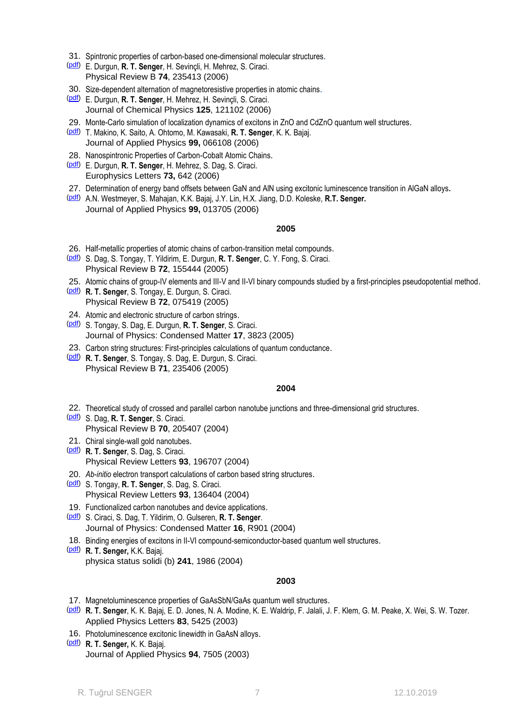- 31. Spintronic properties of carbon-based one-dimensional molecular structures.
- [\(pdf\)](http://web.iyte.edu.tr/~tugrulsenger/p31.pdf) E. Durgun, **R. T. Senger**, H. Sevinçli, H. Mehrez, S. Ciraci. Physical Review B **74**, 235413 (2006)
- 30. Size-dependent alternation of magnetoresistive properties in atomic chains.
- [\(pdf\)](http://web.iyte.edu.tr/~tugrulsenger/p30.pdf) E. Durgun, **R. T. Senger**, H. Mehrez, H. Sevinçli, S. Ciraci. Journal of Chemical Physics **125**, 121102 (2006)
- 29. Monte-Carlo simulation of localization dynamics of excitons in ZnO and CdZnO quantum well structures.
- [\(pdf\)](http://web.iyte.edu.tr/~tugrulsenger/p29.pdf) T. Makino, K. Saito, A. Ohtomo, M. Kawasaki, **R. T. Senger**, K. K. Bajaj. Journal of Applied Physics **99,** 066108 (2006)
- 28. Nanospintronic Properties of Carbon-Cobalt Atomic Chains.
- [\(pdf\)](http://web.iyte.edu.tr/~tugrulsenger/p28.pdf) E. Durgun, **R. T. Senger**, H. Mehrez, S. Dag, S. Ciraci. Europhysics Letters **73,** 642 (2006)
- 27. Determination of energy band offsets between GaN and AlN using excitonic luminescence transition in AlGaN alloys**.**
- [\(pdf\)](http://web.iyte.edu.tr/~tugrulsenger/p27.pdf) A.N. Westmeyer, S. Mahajan, K.K. Bajaj, J.Y. Lin, H.X. Jiang, D.D. Koleske, **R.T. Senger.**  Journal of Applied Physics **99,** 013705 (2006)

- 26. Half-metallic properties of atomic chains of carbon-transition metal compounds.
- [\(pdf\)](http://web.iyte.edu.tr/~tugrulsenger/p26.pdf) S. Dag, S. Tongay, T. Yildirim, E. Durgun, **R. T. Senger**, C. Y. Fong, S. Ciraci. Physical Review B **72**, 155444 (2005)
- 25. Atomic chains of group-IV elements and III-V and II-VI binary compounds studied by a first-principles pseudopotential method.
- [\(pdf\)](http://web.iyte.edu.tr/~tugrulsenger/p25.pdf) **R. T. Senger**, S. Tongay, E. Durgun, S. Ciraci. Physical Review B **72**, 075419 (2005)
- 24. Atomic and electronic structure of carbon strings.
- [\(pdf\)](http://web.iyte.edu.tr/~tugrulsenger/p24.pdf) S. Tongay, S. Dag, E. Durgun, **R. T. Senger**, S. Ciraci. Journal of Physics: Condensed Matter **17**, 3823 (2005)
- 23. Carbon string structures: First-principles calculations of quantum conductance.
- [\(pdf\)](http://web.iyte.edu.tr/~tugrulsenger/p23.pdf) **R. T. Senger**, S. Tongay, S. Dag, E. Durgun, S. Ciraci. Physical Review B **71**, 235406 (2005)

### **2004**

- 22. Theoretical study of crossed and parallel carbon nanotube junctions and three-dimensional grid structures.
- [\(pdf\)](http://web.iyte.edu.tr/~tugrulsenger/p22.pdf) S. Dag, **R. T. Senger**, S. Ciraci. Physical Review B **70**, 205407 (2004)
- 21. Chiral single-wall gold nanotubes. [\(pdf\)](http://web.iyte.edu.tr/~tugrulsenger/p21.pdf) **R. T. Senger**, S. Dag, S. Ciraci. Physical Review Letters **93**, 196707 (2004)
- 20. *Ab-initio* electron transport calculations of carbon based string structures.
- [\(pdf\)](http://web.iyte.edu.tr/~tugrulsenger/p20.pdf) S. Tongay, **R. T. Senger**, S. Dag, S. Ciraci. Physical Review Letters **93**, 136404 (2004)
- 19. Functionalized carbon nanotubes and device applications.
- [\(pdf\)](http://web.iyte.edu.tr/~tugrulsenger/p19.pdf) S. Ciraci, S. Dag, T. Yildirim, O. Gulseren, **R. T. Senger**. Journal of Physics: Condensed Matter **16**, R901 (2004)
- 18. Binding energies of excitons in II-VI compound-semiconductor-based quantum well structures.
- [\(pdf\)](http://web.iyte.edu.tr/~tugrulsenger/p18.pdf) **R. T. Senger,** K.K. Bajaj. physica status solidi (b) **241**, 1986 (2004)

### **2003**

- 17. Magnetoluminescence properties of GaAsSbN/GaAs quantum well structures.
- [\(pdf\)](http://web.iyte.edu.tr/~tugrulsenger/p17.pdf) **R. T. Senger**, K. K. Bajaj, E. D. Jones, N. A. Modine, K. E. Waldrip, F. Jalali, J. F. Klem, G. M. Peake, X. Wei, S. W. Tozer. Applied Physics Letters **83**, 5425 (2003)
- 16. Photoluminescence excitonic linewidth in GaAsN alloys.
- [\(pdf\)](http://web.iyte.edu.tr/~tugrulsenger/p16.pdf) **R. T. Senger,** K. K. Bajaj. Journal of Applied Physics **94**, 7505 (2003)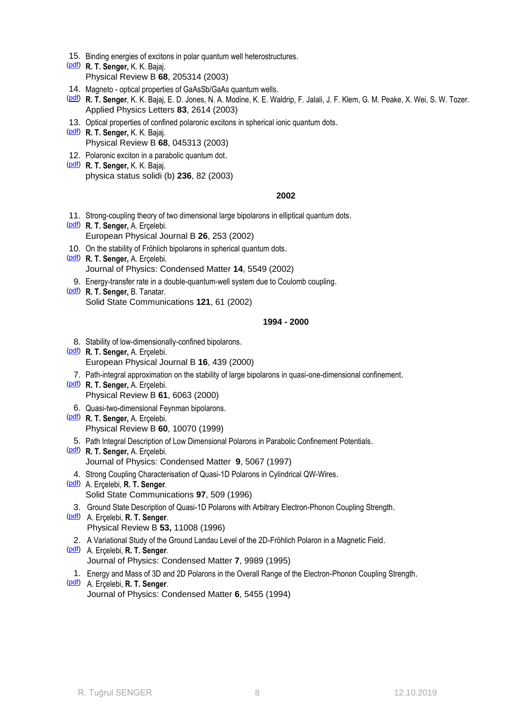- 15. Binding energies of excitons in polar quantum well heterostructures.
- [\(pdf\)](http://web.iyte.edu.tr/~tugrulsenger/p15.pdf) **R. T. Senger,** K. K. Bajaj. Physical Review B **68**, 205314 (2003)
- 14. Magneto optical properties of GaAsSb/GaAs quantum wells.
- [\(pdf\)](http://web.iyte.edu.tr/~tugrulsenger/p14.pdf) **R. T. Senger**, K. K. Bajaj, E. D. Jones, N. A. Modine, K. E. Waldrip, F. Jalali, J. F. Klem, G. M. Peake, X. Wei, S. W. Tozer. Applied Physics Letters **83**, 2614 (2003)
- 13. Optical properties of confined polaronic excitons in spherical ionic quantum dots.
- [\(pdf\)](http://web.iyte.edu.tr/~tugrulsenger/p13.pdf) **R. T. Senger,** K. K. Bajaj. Physical Review B **68**, 045313 (2003)
- 12. Polaronic exciton in a parabolic quantum dot.
- [\(pdf\)](http://web.iyte.edu.tr/~tugrulsenger/p12.pdf) **R. T. Senger,** K. K. Bajaj. physica status solidi (b) **236**, 82 (2003)

- 11. Strong-coupling theory of two dimensional large bipolarons in elliptical quantum dots.
- [\(pdf\)](http://web.iyte.edu.tr/~tugrulsenger/p11.pdf) **R. T. Senger,** A. Erçelebi. European Physical Journal B **26**, 253 (2002)
- 10. On the stability of Fröhlich bipolarons in spherical quantum dots.
- [\(pdf\)](http://web.iyte.edu.tr/~tugrulsenger/p10.pdf) **R. T. Senger,** A. Erçelebi. Journal of Physics: Condensed Matter **14**, 5549 (2002)
- 9. Energy-transfer rate in a double-quantum-well system due to Coulomb coupling.
- [\(pdf\)](http://web.iyte.edu.tr/~tugrulsenger/p09.pdf) **R. T. Senger,** B. Tanatar. Solid State Communications **121**, 61 (2002)

### **1994 - 2000**

- 8. Stability of low-dimensionally-confined bipolarons.
- [\(pdf\)](http://web.iyte.edu.tr/~tugrulsenger/p08.pdf) **R. T. Senger,** A. Erçelebi. European Physical Journal B **16**, 439 (2000)
	- 7. Path-integral approximation on the stability of large bipolarons in quasi-one-dimensional confinement.
- [\(pdf\)](http://web.iyte.edu.tr/~tugrulsenger/p07.pdf) **R. T. Senger,** A. Erçelebi. Physical Review B **61**, 6063 (2000)
- 6. Quasi-two-dimensional Feynman bipolarons.
- [\(pdf\)](http://web.iyte.edu.tr/~tugrulsenger/p06.pdf) **R. T. Senger,** A. Erçelebi. Physical Review B **60**, 10070 (1999) 5. Path Integral Description of Low Dimensional Polarons in Parabolic Confinement Potentials.
- [\(pdf\)](http://web.iyte.edu.tr/~tugrulsenger/p05.pdf) **R. T. Senger,** A. Erçelebi. Journal of Physics: Condensed Matter **9**, 5067 (1997)
- 4. Strong Coupling Characterisation of Quasi-1D Polarons in Cylindrical QW-Wires.
- [\(pdf\)](http://web.iyte.edu.tr/~tugrulsenger/p04.pdf) A. Erçelebi, **R. T. Senger**. Solid State Communications **97**, 509 (1996)
- 3. Ground State Description of Quasi-1D Polarons with Arbitrary Electron-Phonon Coupling Strength.
- [\(pdf\)](http://web.iyte.edu.tr/~tugrulsenger/p03.pdf) A. Erçelebi, **R. T. Senger**. Physical Review B **53,** 11008 (1996)
- 2. A Variational Study of the Ground Landau Level of the 2D-Fröhlich Polaron in a Magnetic Field.
- [\(pdf\)](http://web.iyte.edu.tr/~tugrulsenger/p02.pdf) A. Erçelebi, **R. T. Senger**. Journal of Physics: Condensed Matter **7**, 9989 (1995)
	- 1. Energy and Mass of 3D and 2D Polarons in the Overall Range of the Electron-Phonon Coupling Strength.
- [\(pdf\)](http://web.iyte.edu.tr/~tugrulsenger/p01.pdf) A. Erçelebi, **R. T. Senger**. Journal of Physics: Condensed Matter **6**, 5455 (1994)